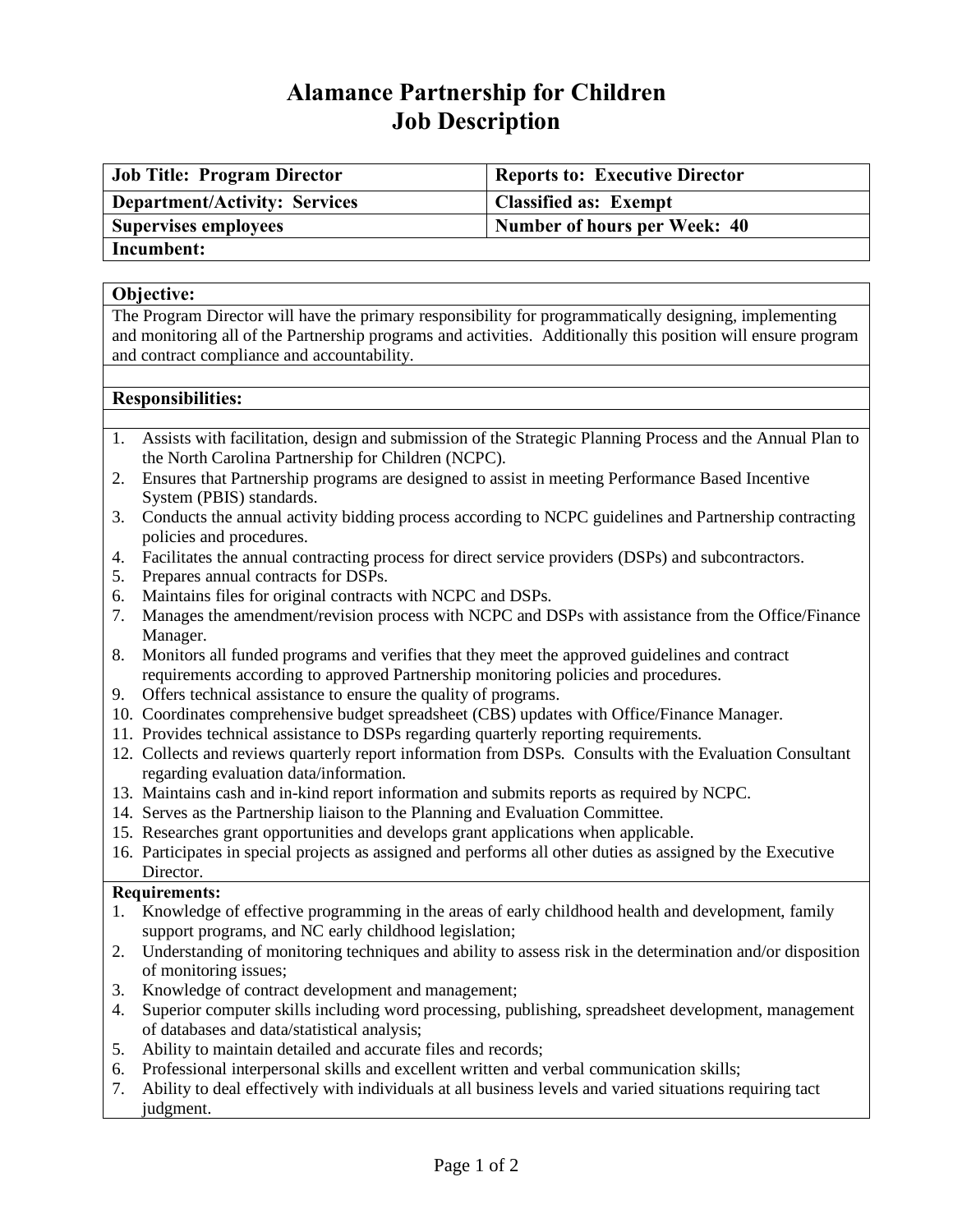# **Alamance Partnership for Children Job Description**

| <b>Job Title: Program Director</b>   | <b>Reports to: Executive Director</b> |
|--------------------------------------|---------------------------------------|
| <b>Department/Activity: Services</b> | <b>Classified as: Exempt</b>          |
| <b>Supervises employees</b>          | Number of hours per Week: 40          |
| Incumbent:                           |                                       |

## **Objective:**

The Program Director will have the primary responsibility for programmatically designing, implementing and monitoring all of the Partnership programs and activities. Additionally this position will ensure program and contract compliance and accountability.

## **Responsibilities:**

- 1. Assists with facilitation, design and submission of the Strategic Planning Process and the Annual Plan to the North Carolina Partnership for Children (NCPC).
- 2. Ensures that Partnership programs are designed to assist in meeting Performance Based Incentive System (PBIS) standards.
- 3. Conducts the annual activity bidding process according to NCPC guidelines and Partnership contracting policies and procedures.
- 4. Facilitates the annual contracting process for direct service providers (DSPs) and subcontractors.
- 5. Prepares annual contracts for DSPs.
- 6. Maintains files for original contracts with NCPC and DSPs.
- 7. Manages the amendment/revision process with NCPC and DSPs with assistance from the Office/Finance Manager.
- 8. Monitors all funded programs and verifies that they meet the approved guidelines and contract requirements according to approved Partnership monitoring policies and procedures.
- 9. Offers technical assistance to ensure the quality of programs.
- 10. Coordinates comprehensive budget spreadsheet (CBS) updates with Office/Finance Manager.
- 11. Provides technical assistance to DSPs regarding quarterly reporting requirements.
- 12. Collects and reviews quarterly report information from DSPs. Consults with the Evaluation Consultant regarding evaluation data/information.
- 13. Maintains cash and in-kind report information and submits reports as required by NCPC.
- 14. Serves as the Partnership liaison to the Planning and Evaluation Committee.
- 15. Researches grant opportunities and develops grant applications when applicable.
- 16. Participates in special projects as assigned and performs all other duties as assigned by the Executive Director.

#### **Requirements:**

- 1. Knowledge of effective programming in the areas of early childhood health and development, family support programs, and NC early childhood legislation;
- 2. Understanding of monitoring techniques and ability to assess risk in the determination and/or disposition of monitoring issues;
- 3. Knowledge of contract development and management;
- 4. Superior computer skills including word processing, publishing, spreadsheet development, management of databases and data/statistical analysis;
- 5. Ability to maintain detailed and accurate files and records;
- 6. Professional interpersonal skills and excellent written and verbal communication skills;
- 7. Ability to deal effectively with individuals at all business levels and varied situations requiring tact judgment.